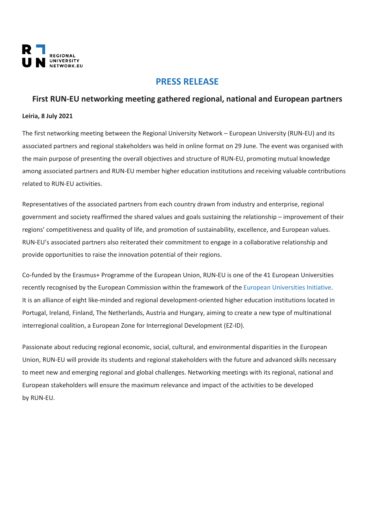

## **PRESS RELEASE**

## **First RUN-EU networking meeting gathered regional, national and European partners**

## **Leiria, 8 July 2021**

The first networking meeting between the Regional University Network – European University (RUN-EU) and its associated partners and regional stakeholders was held in online format on 29 June. The event was organised with the main purpose of presenting the overall objectives and structure of RUN-EU, promoting mutual knowledge among associated partners and RUN-EU member higher education institutions and receiving valuable contributions related to RUN-EU activities.

Representatives of the associated partners from each country drawn from industry and enterprise, regional government and society reaffirmed the shared values and goals sustaining the relationship – improvement of their regions' competitiveness and quality of life, and promotion of sustainability, excellence, and European values. RUN-EU's associated partners also reiterated their commitment to engage in a collaborative relationship and provide opportunities to raise the innovation potential of their regions.

Co-funded by the Erasmus+ Programme of the European Union, RUN-EU is one of the 41 European Universities recently recognised by the European Commission within the framework of the European [Universities](https://eur02.safelinks.protection.outlook.com/?url=https%3A%2F%2Fec.europa.eu%2Feducation%2Feducation-in-the-eu%2Feuropean-education-area%2Feuropean-universities-initiative_en&data=04%7C01%7Cnuno.rodrigues%40ipleiria.pt%7Ce07a460b6a894d7badd808d930b66dcd%7C536b85ada4484186a9afe3ccad3302c5%7C0%7C0%7C637594382494609794%7CUnknown%7CTWFpbGZsb3d8eyJWIjoiMC4wLjAwMDAiLCJQIjoiV2luMzIiLCJBTiI6Ik1haWwiLCJXVCI6Mn0%3D%7C1000&sdata=4lkECWBhki9fNSPpx5TPSlBaRPPQaUIw1WvjZKJsAI4%3D&reserved=0) Initiative. It is an alliance of eight like-minded and regional development-oriented higher education institutions located in Portugal, Ireland, Finland, The Netherlands, Austria and Hungary, aiming to create a new type of multinational interregional coalition, a European Zone for Interregional Development (EZ-ID).

Passionate about reducing regional economic, social, cultural, and environmental disparities in the European Union, RUN-EU will provide its students and regional stakeholders with the future and advanced skills necessary to meet new and emerging regional and global challenges. Networking meetings with its regional, national and European stakeholders will ensure the maximum relevance and impact of the activities to be developed by RUN-EU.